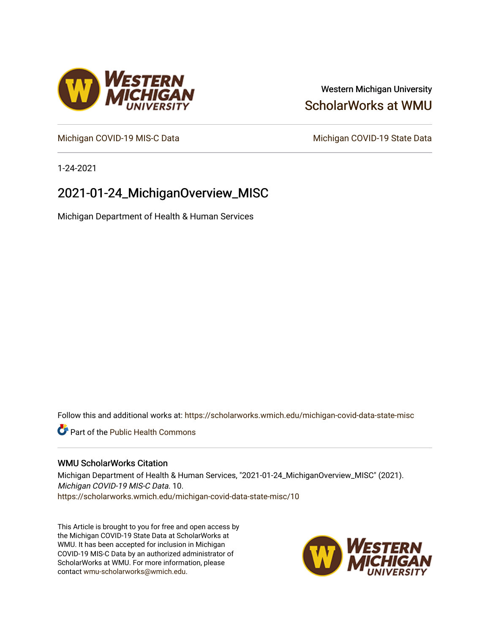### Western Michigan University [ScholarWorks at WMU](https://scholarworks.wmich.edu/)

[Michigan COVID-19 MIS-C Data](https://scholarworks.wmich.edu/michigan-covid-data-state-misc) Michigan COVID-19 State Data

1-24-2021

## 2021-01-24\_MichiganOverview\_MISC

Michigan Department of Health & Human Services

Follow this and additional works at: [https://scholarworks.wmich.edu/michigan-covid-data-state-misc](https://scholarworks.wmich.edu/michigan-covid-data-state-misc?utm_source=scholarworks.wmich.edu%2Fmichigan-covid-data-state-misc%2F10&utm_medium=PDF&utm_campaign=PDFCoverPages) 

**Part of the Public Health Commons** 

#### WMU ScholarWorks Citation

Michigan Department of Health & Human Services, "2021-01-24\_MichiganOverview\_MISC" (2021). Michigan COVID-19 MIS-C Data. 10. [https://scholarworks.wmich.edu/michigan-covid-data-state-misc/10](https://scholarworks.wmich.edu/michigan-covid-data-state-misc/10?utm_source=scholarworks.wmich.edu%2Fmichigan-covid-data-state-misc%2F10&utm_medium=PDF&utm_campaign=PDFCoverPages)

This Article is brought to you for free and open access by the Michigan COVID-19 State Data at ScholarWorks at WMU. It has been accepted for inclusion in Michigan COVID-19 MIS-C Data by an authorized administrator of ScholarWorks at WMU. For more information, please contact [wmu-scholarworks@wmich.edu](mailto:wmu-scholarworks@wmich.edu).